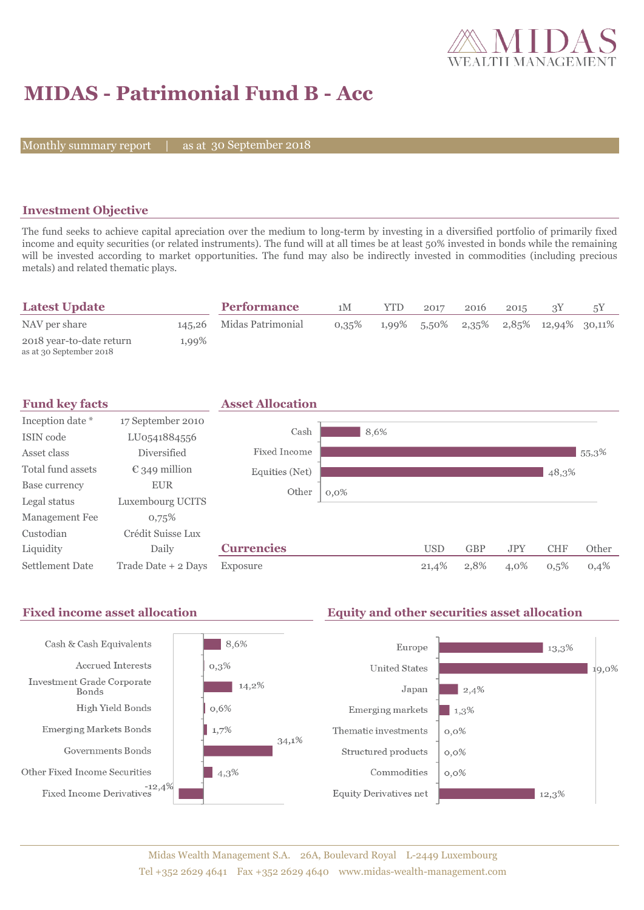

## **MIDAS - Patrimonial Fund B - Acc**

Monthly summary report

30 September 2018

### **Investment Objective**

The fund seeks to achieve capital apreciation over the medium to long-term by investing in a diversified portfolio of primarily fixed income and equity securities (or related instruments). The fund will at all times be at least 50% invested in bonds while the remaining will be invested according to market opportunities. The fund may also be indirectly invested in commodities (including precious metals) and related thematic plays.

| <b>Latest Update</b>                                |       | <b>Performance</b>       | 1M       | YTD | 2017 | 2016 | 2015 |                                                |  |
|-----------------------------------------------------|-------|--------------------------|----------|-----|------|------|------|------------------------------------------------|--|
| NAV per share                                       |       | 145,26 Midas Patrimonial | $0,35\%$ |     |      |      |      | $1,99\%$ 5,50% $2,35\%$ 2,85% $12,94\%$ 30,11% |  |
| 2018 year-to-date return<br>as at 30 September 2018 | 1,99% |                          |          |     |      |      |      |                                                |  |

| <b>Fund key facts</b> |                        | <b>Asset Allocation</b> |         |      |            |            |            |            |       |
|-----------------------|------------------------|-------------------------|---------|------|------------|------------|------------|------------|-------|
| Inception date *      | 17 September 2010      |                         |         |      |            |            |            |            |       |
| ISIN code             | LU0541884556           | Cash                    |         | 8,6% |            |            |            |            |       |
| Asset class           | Diversified            | <b>Fixed Income</b>     |         |      |            |            |            |            | 55,3% |
| Total fund assets     | $\epsilon$ 349 million | Equities (Net)          |         |      |            |            |            | 48,3%      |       |
| Base currency         | <b>EUR</b>             | Other                   | $0,0\%$ |      |            |            |            |            |       |
| Legal status          | Luxembourg UCITS       |                         |         |      |            |            |            |            |       |
| Management Fee        | 0,75%                  |                         |         |      |            |            |            |            |       |
| Custodian             | Crédit Suisse Lux      |                         |         |      |            |            |            |            |       |
| Liquidity             | Daily                  | <b>Currencies</b>       |         |      | <b>USD</b> | <b>GBP</b> | <b>JPY</b> | <b>CHF</b> | Other |
| Settlement Date       | Trade Date + 2 Days    | Exposure                |         |      | 21,4%      | 2,8%       | 4,0%       | 0,5%       | 0,4%  |

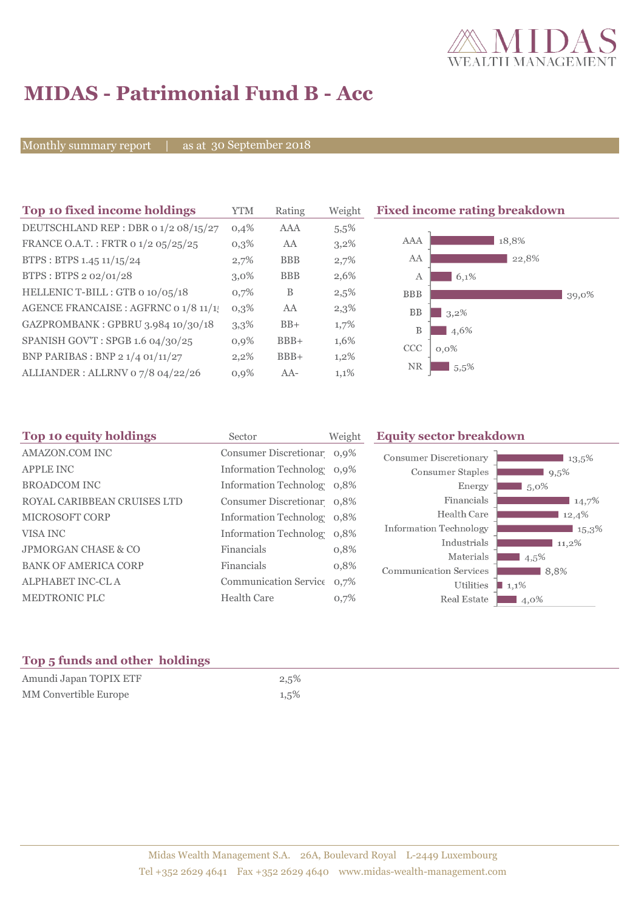

# **MIDAS - Patrimonial Fund B - Acc**

Monthly summary report | as at 30 September 2018

| Top 10 fixed income holdings          | YTM     | Rating     | Weight  | <b>Fixed income rating breakdown</b> |
|---------------------------------------|---------|------------|---------|--------------------------------------|
| DEUTSCHLAND REP : DBR 0 1/2 08/15/27  | 0,4%    | AAA        | $5.5\%$ |                                      |
| FRANCE O.A.T.: FRTR 0 1/2 05/25/25    | $0,3\%$ | AA         | $3,2\%$ | 18,8%<br>AAA                         |
| BTPS: BTPS 1.45 11/15/24              | 2,7%    | <b>BBB</b> | 2,7%    | AA<br>22,8%                          |
| BTPS: BTPS 2 02/01/28                 | $3,0\%$ | <b>BBB</b> | 2,6%    | 6,1%<br>A                            |
| HELLENIC T-BILL: GTB 0 10/05/18       | 0,7%    | B          | 2,5%    | <b>BBB</b><br>39,0%                  |
| AGENCE FRANCAISE : AGFRNC 0 1/8 11/1! | $0,3\%$ | AA         | $2,3\%$ | <b>BB</b><br>3,2%                    |
| GAZPROMBANK: GPBRU 3.984 10/30/18     | 3,3%    | $BB+$      | 1,7%    | B<br>4,6%                            |
| SPANISH GOV'T: SPGB 1.6 04/30/25      | 0,9%    | $BBB+$     | 1,6%    | CCC<br>$0.0\%$                       |
| BNP PARIBAS : BNP 2 1/4 01/11/27      | $2,2\%$ | $BBB+$     | $1,2\%$ |                                      |
| ALLIANDER: ALLRNV 07/8 04/22/26       | $0,9\%$ | $AA-$      | 1,1%    | NR.<br>5.5%                          |

| Top 10 equity holdings         | Sector                     | Weight | <b>Equity sector breakdown</b>                        |  |  |
|--------------------------------|----------------------------|--------|-------------------------------------------------------|--|--|
| AMAZON.COM INC                 | Consumer Discretionar 0,9% |        | <b>Consumer Discretionary</b><br>13,5%                |  |  |
| <b>APPLE INC</b>               | Information Technolog 0,9% |        | Consumer Staples<br>9,5%                              |  |  |
| <b>BROADCOM INC</b>            | Information Technolog 0,8% |        | Energy<br>$5.0\%$                                     |  |  |
| ROYAL CARIBBEAN CRUISES LTD    | Consumer Discretionar 0,8% |        | Financials<br>14,7%                                   |  |  |
| <b>MICROSOFT CORP</b>          | Information Technolog 0,8% |        | Health Care<br>12,4%                                  |  |  |
| VISA INC                       | Information Technolog 0,8% |        | <b>Information Technology</b><br>$\blacksquare$ 15,3% |  |  |
| <b>JPMORGAN CHASE &amp; CO</b> | Financials                 | 0,8%   | Industrials<br>11,2%<br>Materials                     |  |  |
| <b>BANK OF AMERICA CORP</b>    | Financials                 | 0,8%   | $4,5\%$<br><b>Communication Services</b><br>8,8%      |  |  |
| ALPHABET INC-CL A              | Communication Service 0,7% |        | Utilities<br>$1,1\%$                                  |  |  |
| MEDTRONIC PLC                  | <b>Health Care</b>         | 0,7%   | Real Estate<br>4,0%                                   |  |  |
|                                |                            |        |                                                       |  |  |

### **Top 5 funds and other holdings**

| Amundi Japan TOPIX ETF       | 2,5% |
|------------------------------|------|
| <b>MM</b> Convertible Europe | 1,5% |